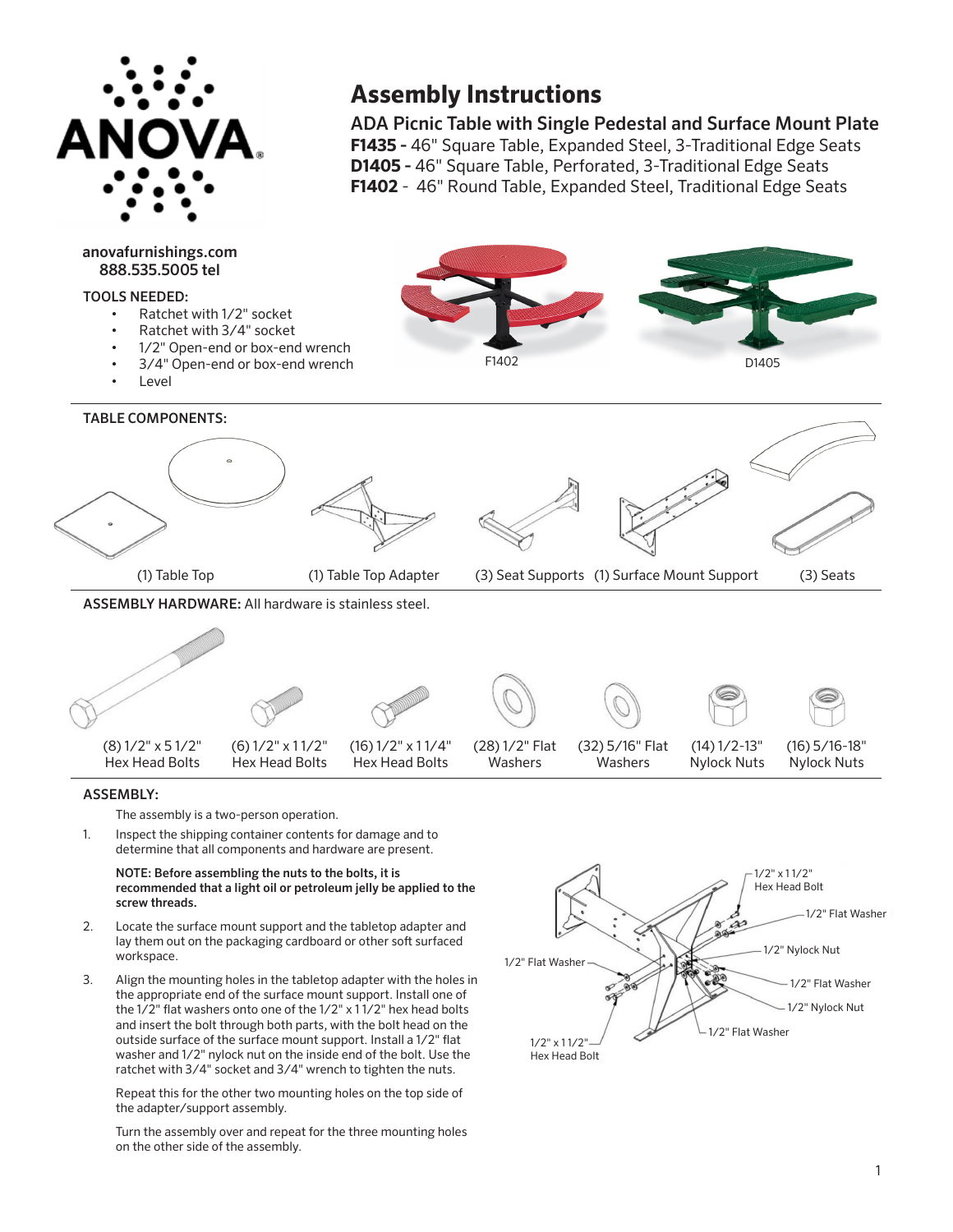

anovafurnishings.com 888.535.5005 tel

# TOOLS NEEDED:

# **Assembly Instructions**

ADA Picnic Table with Single Pedestal and Surface Mount Plate **F1435 -** 46" Square Table, Expanded Steel, 3-Traditional Edge Seats **D1405 -** 46" Square Table, Perforated, 3-Traditional Edge Seats **F1402** - 46" Round Table, Expanded Steel, Traditional Edge Seats



## ASSEMBLY:

The assembly is a two-person operation.

Inspect the shipping container contents for damage and to determine that all components and hardware are present. 1.

NOTE: Before assembling the nuts to the bolts, it is recommended that a light oil or petroleum jelly be applied to the screw threads.

- Locate the surface mount support and the tabletop adapter and lay them out on the packaging cardboard or other soft surfaced workspace. 2.
- Align the mounting holes in the tabletop adapter with the holes in the appropriate end of the surface mount support. Install one of the 1/2" flat washers onto one of the 1/2" x 1 1/2" hex head bolts and insert the bolt through both parts, with the bolt head on the outside surface of the surface mount support. Install a 1/2" flat washer and 1/2" nylock nut on the inside end of the bolt. Use the ratchet with 3/4" socket and 3/4" wrench to tighten the nuts. 3.

Repeat this for the other two mounting holes on the top side of the adapter/support assembly.

Turn the assembly over and repeat for the three mounting holes on the other side of the assembly.